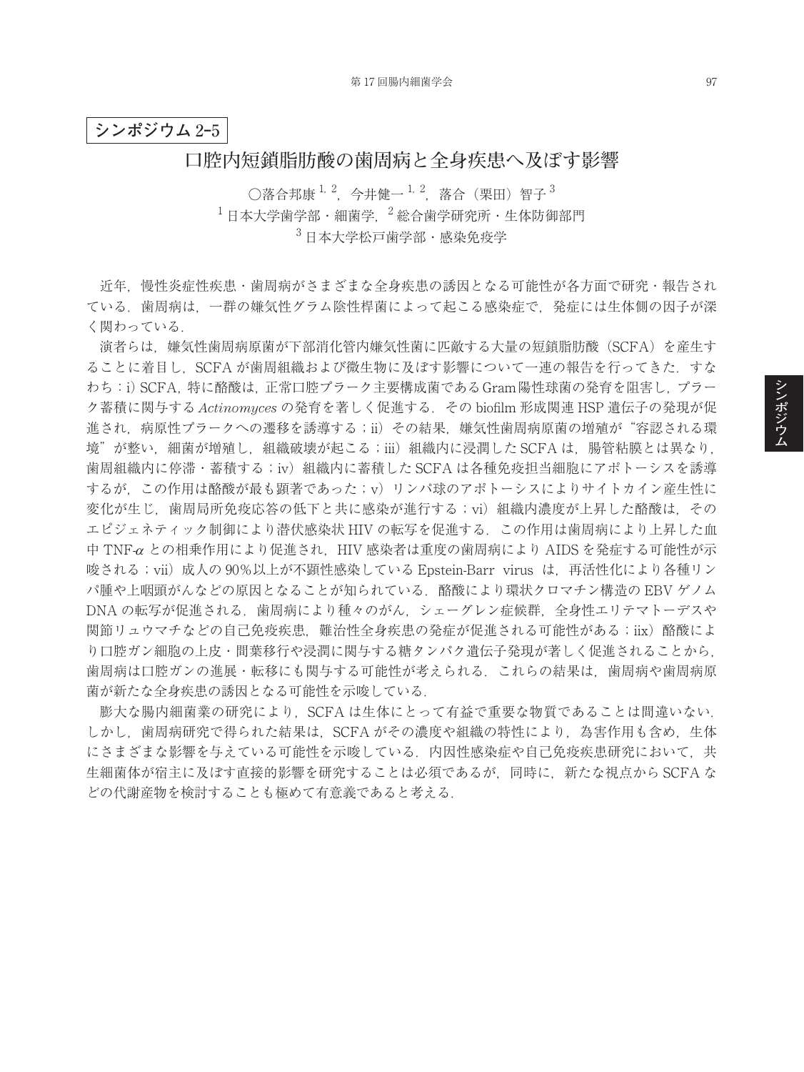## **シンポジウム** 2**‒**5

## **口腔内短鎖脂肪酸の歯周病と全身疾患へ及ぼす影響**

○落合邦康  $^{1, 2}$ , 今井健一 $^{1, 2}$ , 落合(栗田)智子 $^{3}$  $^{-1}$ 日本大学歯学部・細菌学,  $^{-2}$ 総合歯学研究所・生体防御部門 <sup>3</sup> 日本大学松戸歯学部・感染免疫学

近年,慢性炎症性疾患・歯周病がさまざまな全身疾患の誘因となる可能性が各方面で研究・報告され ている.歯周病は,一群の嫌気性グラム陰性桿菌によって起こる感染症で,発症には生体側の因子が深 く関わっている.

演者らは,嫌気性歯周病原菌が下部消化管内嫌気性菌に匹敵する大量の短鎖脂肪酸(SCFA)を産生す ることに着目し. SCFA が歯周組織および微生物に及ぼす影響について一連の報告を行ってきた. すな わち:i)SCFA,特に酪酸は,正常口腔プラーク主要構成菌であるGram陽性球菌の発育を阻害し,プラー ク蓄積に関与する *Actinomyces* の発育を著しく促進する.その biofilm 形成関連 HSP 遺伝子の発現が促 進され,病原性プラークへの遷移を誘導する;ii)その結果,嫌気性歯周病原菌の増殖が"容認される環 境"が整い,細菌が増殖し,組織破壊が起こる;iii)組織内に浸潤した SCFA は,腸管粘膜とは異なり, 歯周組織内に停滞・蓄積する;iv)組織内に蓄積した SCFA は各種免疫担当細胞にアポトーシスを誘導 するが,この作用は酪酸が最も顕著であった;v)リンパ球のアポトーシスによりサイトカイン産生性に 変化が生じ、歯周局所免疫応答の低下と共に感染が進行する;vi)組織内濃度が上昇した酪酸は、その エピジェネティック制御により潜伏感染状 HIV の転写を促進する. この作用は歯周病により上昇した血 中 TNF-<sup>α</sup> との相乗作用により促進され,HIV 感染者は重度の歯周病により AIDS を発症する可能性が示 唆される;vii)成人の 90%以上が不顕性感染している Epstein-Barr virus は,再活性化により各種リン パ腫や上咽頭がんなどの原因となることが知られている.酪酸により環状クロマチン構造の EBV ゲノム DNA の転写が促進される.歯周病により種々のがん,シェーグレン症候群,全身性エリテマトーデスや 関節リュウマチなどの自己免疫疾患、難治性全身疾患の発症が促進される可能性がある;iix)酪酸によ り口腔ガン細胞の上皮・間葉移行や浸潤に関与する糖タンパク遺伝子発現が著しく促進されることから, 歯周病は口腔ガンの進展・転移にも関与する可能性が考えられる.これらの結果は,歯周病や歯周病原 菌が新たな全身疾患の誘因となる可能性を示唆している.

膨大な腸内細菌業の研究により,SCFA は生体にとって有益で重要な物質であることは間違いない. しかし、歯周病研究で得られた結果は、SCFA がその濃度や組織の特性により、為害作用も含め、生体 にさまざまな影響を与えている可能性を示唆している. 内因性感染症や自己免疫疾患研究において、共 生細菌体が宿主に及ぼす直接的影響を研究することは必須であるが,同時に,新たな視点から SCFA な どの代謝産物を検討することも極めて有意義であると考える.